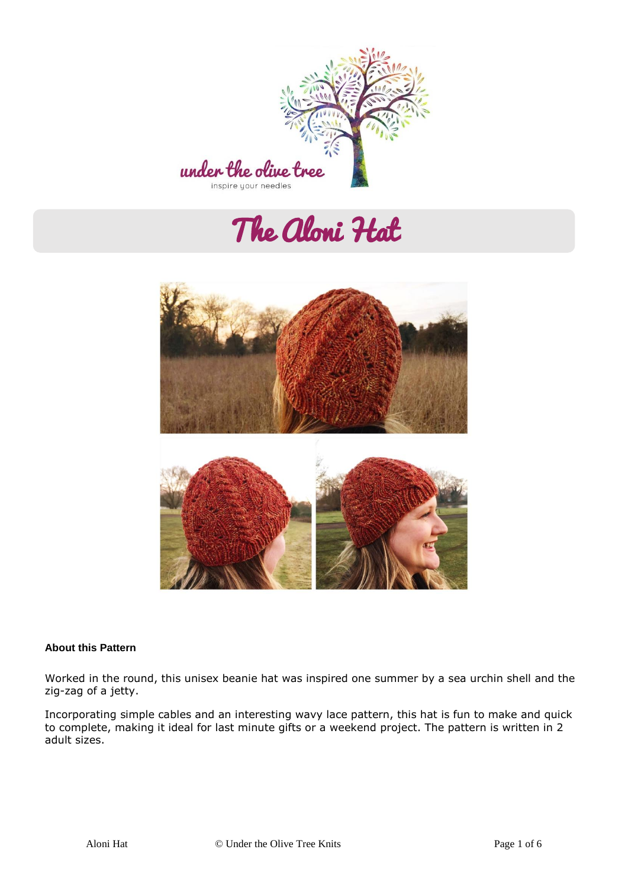

# The Aloni Hat



#### **About this Pattern**

Worked in the round, this unisex beanie hat was inspired one summer by a sea urchin shell and the zig-zag of a jetty.

Incorporating simple cables and an interesting wavy lace pattern, this hat is fun to make and quick to complete, making it ideal for last minute gifts or a weekend project. The pattern is written in 2 adult sizes.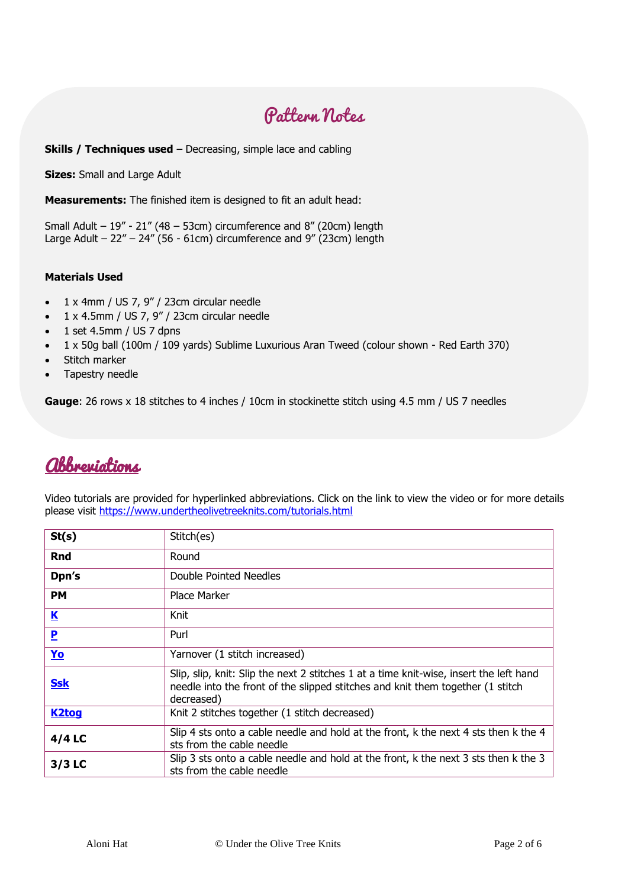## Pattern Notes

#### **Skills / Techniques used** – Decreasing, simple lace and cabling

**Sizes:** Small and Large Adult

**Measurements:** The finished item is designed to fit an adult head:

Small Adult – 19" - 21" (48 – 53cm) circumference and 8" (20cm) length Large Adult – 22" – 24" (56 - 61cm) circumference and 9" (23cm) length

#### **Materials Used**

- 1 x 4mm / US 7, 9" / 23cm circular needle
- $\bullet$  1 x 4.5mm / US 7, 9" / 23cm circular needle
- $\bullet$  1 set 4.5mm / US 7 dpns
- 1 x 50g ball (100m / 109 yards) Sublime Luxurious Aran Tweed (colour shown Red Earth 370)
- Stitch marker
- Tapestry needle

**Gauge**: 26 rows x 18 stitches to 4 inches / 10cm in stockinette stitch using 4.5 mm / US 7 needles

### Abbreviations

Video tutorials are provided for hyperlinked abbreviations. Click on the link to view the video or for more details please visit<https://www.undertheolivetreeknits.com/tutorials.html>

| St(s)                   | Stitch(es)                                                                                                                                                                             |
|-------------------------|----------------------------------------------------------------------------------------------------------------------------------------------------------------------------------------|
| <b>Rnd</b>              | Round                                                                                                                                                                                  |
| Dpn's                   | Double Pointed Needles                                                                                                                                                                 |
| <b>PM</b>               | Place Marker                                                                                                                                                                           |
| $\overline{\mathbf{K}}$ | Knit                                                                                                                                                                                   |
| $\mathbf{P}$            | Purl                                                                                                                                                                                   |
| <b>Yo</b>               | Yarnover (1 stitch increased)                                                                                                                                                          |
| <b>Ssk</b>              | Slip, slip, knit: Slip the next 2 stitches 1 at a time knit-wise, insert the left hand<br>needle into the front of the slipped stitches and knit them together (1 stitch<br>decreased) |
| <b>K2tog</b>            | Knit 2 stitches together (1 stitch decreased)                                                                                                                                          |
| $4/4$ LC                | Slip 4 sts onto a cable needle and hold at the front, k the next 4 sts then k the 4<br>sts from the cable needle                                                                       |
| $3/3$ LC                | Slip 3 sts onto a cable needle and hold at the front, k the next 3 sts then k the 3<br>sts from the cable needle                                                                       |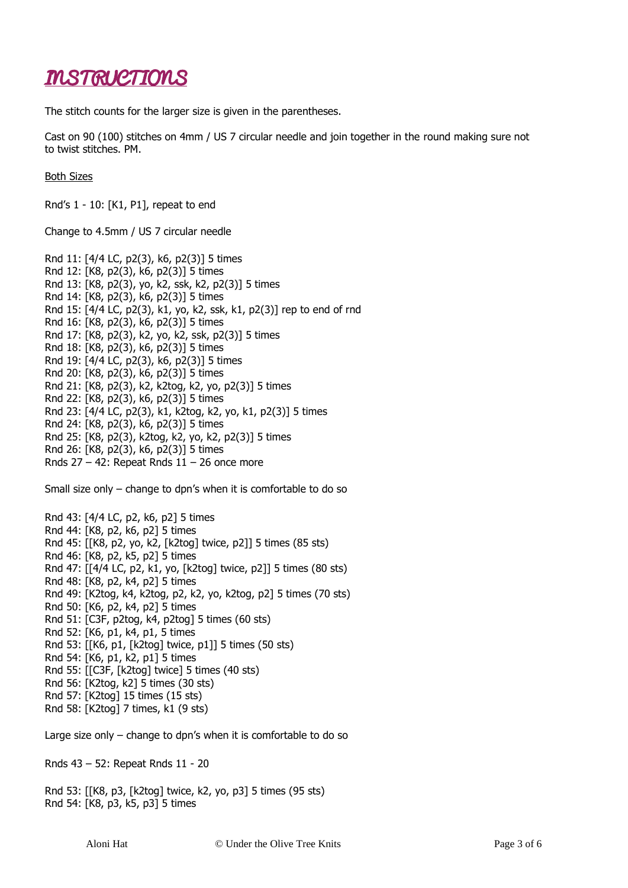## INSTRUCTIONS

The stitch counts for the larger size is given in the parentheses.

Cast on 90 (100) stitches on 4mm / US 7 circular needle and join together in the round making sure not to twist stitches. PM.

Both Sizes

Rnd's 1 - 10: [K1, P1], repeat to end

Change to 4.5mm / US 7 circular needle

Rnd 11: [4/4 LC, p2(3), k6, p2(3)] 5 times Rnd 12: [K8, p2(3), k6, p2(3)] 5 times Rnd 13: [K8, p2(3), yo, k2, ssk, k2, p2(3)] 5 times Rnd 14: [K8, p2(3), k6, p2(3)] 5 times Rnd 15: [4/4 LC, p2(3), k1, yo, k2, ssk, k1, p2(3)] rep to end of rnd Rnd 16: [K8, p2(3), k6, p2(3)] 5 times Rnd 17: [K8, p2(3), k2, yo, k2, ssk, p2(3)] 5 times Rnd 18: [K8, p2(3), k6, p2(3)] 5 times Rnd 19: [4/4 LC, p2(3), k6, p2(3)] 5 times Rnd 20: [K8, p2(3), k6, p2(3)] 5 times Rnd 21: [K8, p2(3), k2, k2tog, k2, yo, p2(3)] 5 times Rnd 22: [K8, p2(3), k6, p2(3)] 5 times Rnd 23: [4/4 LC, p2(3), k1, k2tog, k2, yo, k1, p2(3)] 5 times Rnd 24: [K8, p2(3), k6, p2(3)] 5 times Rnd 25: [K8, p2(3), k2tog, k2, yo, k2, p2(3)] 5 times Rnd 26: [K8, p2(3), k6, p2(3)] 5 times Rnds  $27 - 42$ : Repeat Rnds  $11 - 26$  once more

Small size only – change to dpn's when it is comfortable to do so

Rnd 43: [4/4 LC, p2, k6, p2] 5 times Rnd 44: [K8, p2, k6, p2] 5 times Rnd 45: [[K8, p2, yo, k2, [k2tog] twice, p2]] 5 times (85 sts) Rnd 46: [K8, p2, k5, p2] 5 times Rnd 47: [[4/4 LC, p2, k1, yo, [k2tog] twice, p2]] 5 times (80 sts) Rnd 48: [K8, p2, k4, p2] 5 times Rnd 49: [K2tog, k4, k2tog, p2, k2, yo, k2tog, p2] 5 times (70 sts) Rnd 50: [K6, p2, k4, p2] 5 times Rnd 51: [C3F, p2tog, k4, p2tog] 5 times (60 sts) Rnd 52: [K6, p1, k4, p1, 5 times Rnd 53: [[K6, p1, [k2tog] twice, p1]] 5 times (50 sts) Rnd 54: [K6, p1, k2, p1] 5 times Rnd 55: [[C3F, [k2tog] twice] 5 times (40 sts) Rnd 56: [K2tog, k2] 5 times (30 sts) Rnd 57: [K2tog] 15 times (15 sts) Rnd 58: [K2tog] 7 times, k1 (9 sts)

Large size only – change to dpn's when it is comfortable to do so

Rnds 43 – 52: Repeat Rnds 11 - 20

Rnd 53: [[K8, p3, [k2tog] twice, k2, yo, p3] 5 times (95 sts) Rnd 54: [K8, p3, k5, p3] 5 times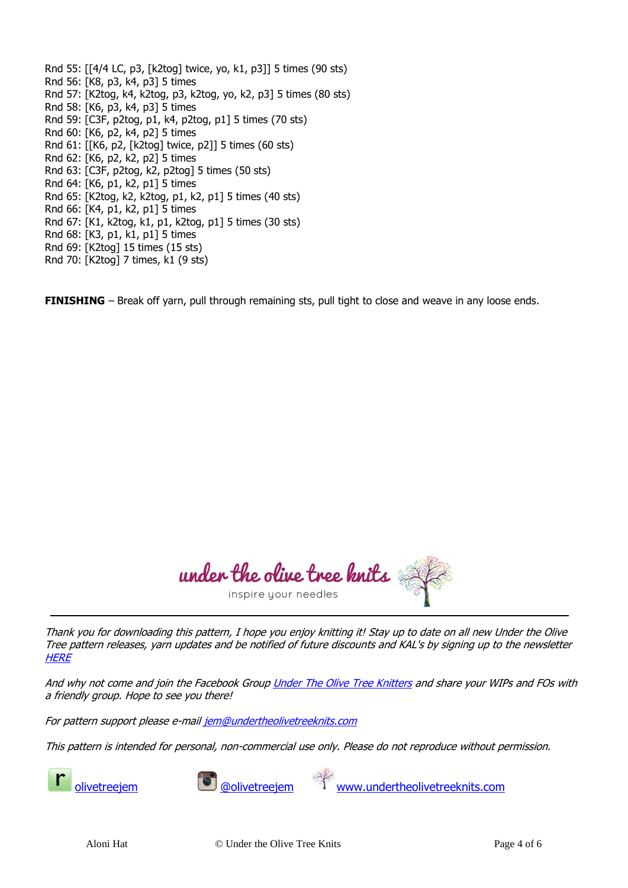Rnd 55: [[4/4 LC, p3, [k2tog] twice, yo, k1, p3]] 5 times (90 sts) Rnd 56: [K8, p3, k4, p3] 5 times Rnd 57: [K2tog, k4, k2tog, p3, k2tog, yo, k2, p3] 5 times (80 sts) Rnd 58: [K6, p3, k4, p3] 5 times Rnd 59: [C3F, p2tog, p1, k4, p2tog, p1] 5 times (70 sts) Rnd 60: [K6, p2, k4, p2] 5 times Rnd 61: [[K6, p2, [k2tog] twice, p2]] 5 times (60 sts) Rnd 62: [K6, p2, k2, p2] 5 times Rnd 63: [C3F, p2tog, k2, p2tog] 5 times (50 sts) Rnd 64: [K6, p1, k2, p1] 5 times Rnd 65: [K2tog, k2, k2tog, p1, k2, p1] 5 times (40 sts) Rnd 66: [K4, p1, k2, p1] 5 times Rnd 67: [K1, k2tog, k1, p1, k2tog, p1] 5 times (30 sts) Rnd 68: [K3, p1, k1, p1] 5 times Rnd 69: [K2tog] 15 times (15 sts) Rnd 70: [K2tog] 7 times, k1 (9 sts)

**FINISHING** – Break off yarn, pull through remaining sts, pull tight to close and weave in any loose ends.

under the olive tree knits inspire your needles

Thank you for downloading this pattern, I hope you enjoy knitting it! Stay up to date on all new Under the Olive Tree pattern releases, yarn updates and be notified of future discounts and KAL's by signing up to the newsletter **[HERE](http://eepurl.com/dpzk0r)** 

And why not come and join the Facebook Grou[p Under The Olive Tree Knitters](https://www.facebook.com/groups/UndertheOliveTreeKnitters) and share your WIPs and FOs with a friendly group. Hope to see you there!

For pattern support please e-mai[l jem@undertheolivetreeknits.com](mailto:jem@undertheolivetreeknits.com)

This pattern is intended for personal, non-commercial use only. Please do not reproduce without permission.



[olivetreejem](https://www.ravelry.com/designers/jem-arrowsmith---under-the-olive-tree-knits) [@olivetreejem](https://www.instagram.com/olivetreejem/) [www.undertheolivetreeknits.com](http://www.undertheolivetreeknits.com/)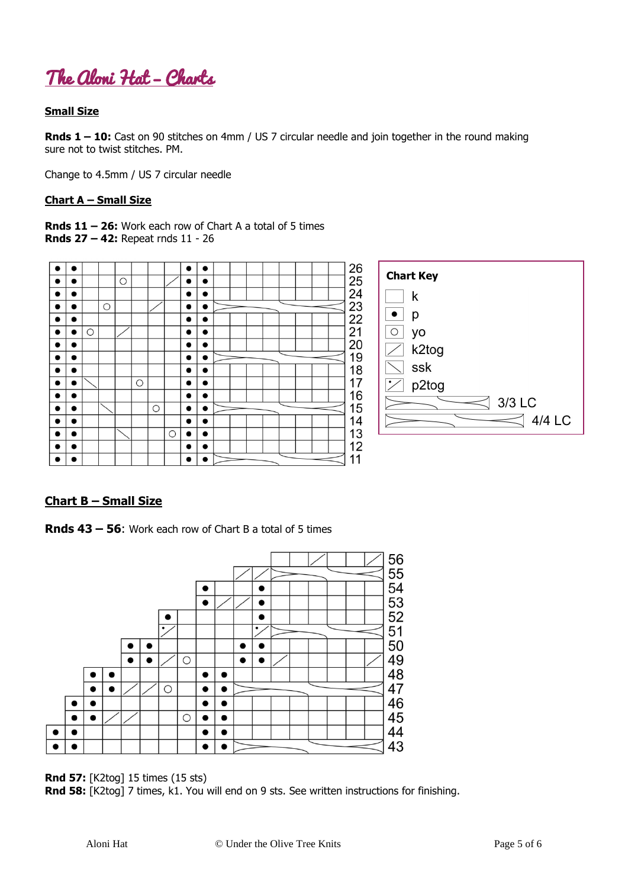

#### **Small Size**

**Rnds 1 – 10:** Cast on 90 stitches on 4mm / US 7 circular needle and join together in the round making sure not to twist stitches. PM.

Change to 4.5mm / US 7 circular needle

#### **Chart A – Small Size**

**Rnds 11 – 26:** Work each row of Chart A a total of 5 times **Rnds 27 – 42:** Repeat rnds 11 - 26



#### **Chart B – Small Size**

**Rnds 43 – 56**: Work each row of Chart B a total of 5 times



**Rnd 57:** [K2tog] 15 times (15 sts)

**Rnd 58:** [K2tog] 7 times, k1. You will end on 9 sts. See written instructions for finishing.